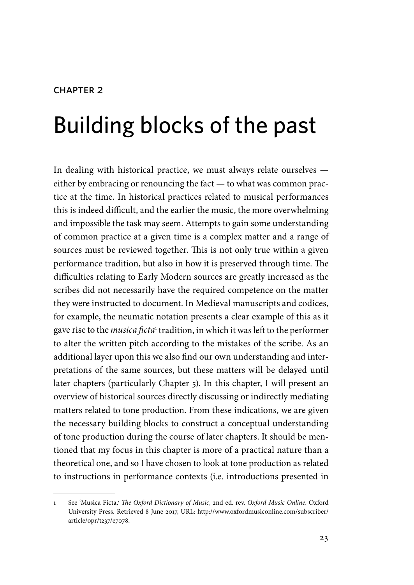#### CHAPTER<sub>2</sub>

# Building blocks of the past

In dealing with historical practice, we must always relate ourselves either by embracing or renouncing the fact — to what was common practice at the time. In historical practices related to musical performances this is indeed difficult, and the earlier the music, the more overwhelming and impossible the task may seem. Attempts to gain some understanding of common practice at a given time is a complex matter and a range of sources must be reviewed together. This is not only true within a given performance tradition, but also in how it is preserved through time. The difficulties relating to Early Modern sources are greatly increased as the scribes did not necessarily have the required competence on the matter they were instructed to document. In Medieval manuscripts and codices, for example, the neumatic notation presents a clear example of this as it gave rise to the *musica ficta*<sup>1</sup> tradition, in which it was left to the performer to alter the written pitch according to the mistakes of the scribe. As an additional layer upon this we also find our own understanding and interpretations of the same sources, but these matters will be delayed until later chapters (particularly Chapter 5). In this chapter, I will present an overview of historical sources directly discussing or indirectly mediating matters related to tone production. From these indications, we are given the necessary building blocks to construct a conceptual understanding of tone production during the course of later chapters. It should be mentioned that my focus in this chapter is more of a practical nature than a theoretical one, and so I have chosen to look at tone production as related to instructions in performance contexts (i.e. introductions presented in

<sup>1</sup> See 'Musica Ficta,, *The Oxford Dictionary of Music*, 2nd ed. rev. *Oxford Music Online*. Oxford University Press. Retrieved 8 June 2017, URL: http://www.oxfordmusiconline.com/subscriber/ article/opr/t237/e7078.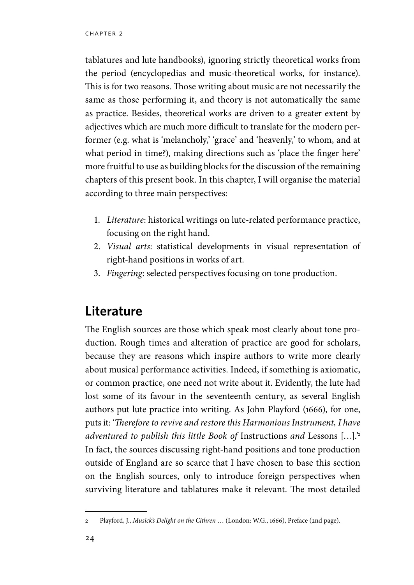tablatures and lute handbooks), ignoring strictly theoretical works from the period (encyclopedias and music-theoretical works, for instance). This is for two reasons. Those writing about music are not necessarily the same as those performing it, and theory is not automatically the same as practice. Besides, theoretical works are driven to a greater extent by adjectives which are much more difficult to translate for the modern performer (e.g. what is 'melancholy,' 'grace' and 'heavenly,' to whom, and at what period in time?), making directions such as 'place the finger here' more fruitful to use as building blocks for the discussion of the remaining chapters of this present book. In this chapter, I will organise the material according to three main perspectives:

- 1. *Literature*: historical writings on lute-related performance practice, focusing on the right hand.
- 2. *Visual arts*: statistical developments in visual representation of right-hand positions in works of art.
- 3. *Fingering*: selected perspectives focusing on tone production.

### **Literature**

The English sources are those which speak most clearly about tone production. Rough times and alteration of practice are good for scholars, because they are reasons which inspire authors to write more clearly about musical performance activities. Indeed, if something is axiomatic, or common practice, one need not write about it. Evidently, the lute had lost some of its favour in the seventeenth century, as several English authors put lute practice into writing. As John Playford (1666), for one, puts it: '*Therefore to revive and restore this Harmonious Instrument, I have adventured to publish this little Book of* Instructions *and* Lessons […].'2 In fact, the sources discussing right-hand positions and tone production outside of England are so scarce that I have chosen to base this section on the English sources, only to introduce foreign perspectives when surviving literature and tablatures make it relevant. The most detailed

<sup>2</sup> Playford, J., *Musick's Delight on the Cithren* … (London: W.G., 1666), Preface (2nd page).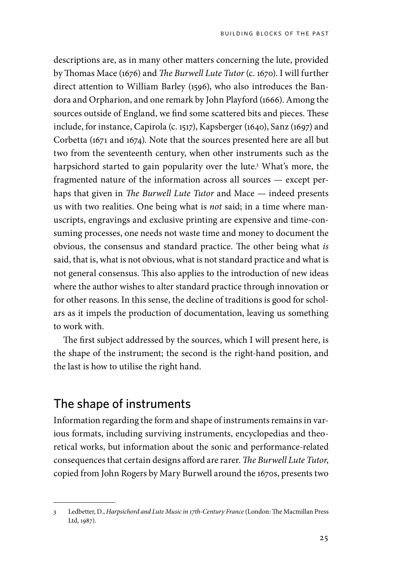descriptions are, as in many other matters concerning the lute, provided by Thomas Mace (1676) and *The Burwell Lute Tutor* (c. 1670). I will further direct attention to William Barley (1596), who also introduces the Bandora and Orpharion, and one remark by John Playford (1666). Among the sources outside of England, we find some scattered bits and pieces. These include, for instance, Capirola (c. 1517), Kapsberger (1640), Sanz (1697) and Corbetta (1671 and 1674). Note that the sources presented here are all but two from the seventeenth century, when other instruments such as the harpsichord started to gain popularity over the lute.3 What's more, the fragmented nature of the information across all sources — except perhaps that given in *The Burwell Lute Tutor* and Mace — indeed presents us with two realities. One being what is *not* said; in a time where manuscripts, engravings and exclusive printing are expensive and time-consuming processes, one needs not waste time and money to document the obvious, the consensus and standard practice. The other being what *is* said, that is, what is not obvious, what is not standard practice and what is not general consensus. This also applies to the introduction of new ideas where the author wishes to alter standard practice through innovation or for other reasons. In this sense, the decline of traditions is good for scholars as it impels the production of documentation, leaving us something to work with.

The first subject addressed by the sources, which I will present here, is the shape of the instrument; the second is the right-hand position, and the last is how to utilise the right hand.

#### The shape of instruments

Information regarding the form and shape of instruments remains in various formats, including surviving instruments, encyclopedias and theoretical works, but information about the sonic and performance-related consequences that certain designs afford are rarer. *The Burwell Lute Tutor*, copied from John Rogers by Mary Burwell around the 1670s, presents two

<sup>3</sup> Ledbetter, D., *Harpsichord and Lute Music in 17th-Century France* (London: The Macmillan Press Ltd, 1987).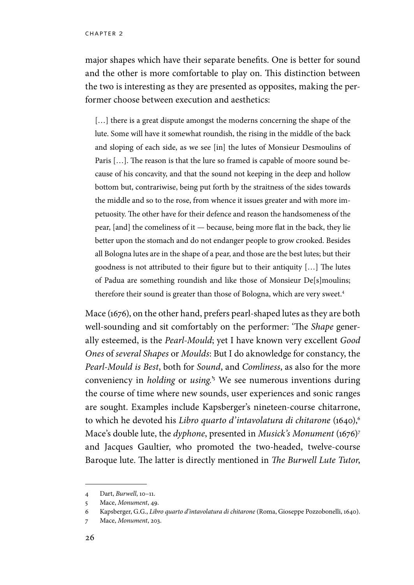major shapes which have their separate benefits. One is better for sound and the other is more comfortable to play on. This distinction between the two is interesting as they are presented as opposites, making the performer choose between execution and aesthetics:

[...] there is a great dispute amongst the moderns concerning the shape of the lute. Some will have it somewhat roundish, the rising in the middle of the back and sloping of each side, as we see [in] the lutes of Monsieur Desmoulins of Paris […]. The reason is that the lure so framed is capable of moore sound because of his concavity, and that the sound not keeping in the deep and hollow bottom but, contrariwise, being put forth by the straitness of the sides towards the middle and so to the rose, from whence it issues greater and with more impetuosity. The other have for their defence and reason the handsomeness of the pear, [and] the comeliness of it — because, being more flat in the back, they lie better upon the stomach and do not endanger people to grow crooked. Besides all Bologna lutes are in the shape of a pear, and those are the best lutes; but their goodness is not attributed to their figure but to their antiquity […] The lutes of Padua are something roundish and like those of Monsieur De[s]moulins; therefore their sound is greater than those of Bologna, which are very sweet.<sup>4</sup>

Mace (1676), on the other hand, prefers pearl-shaped lutes as they are both well-sounding and sit comfortably on the performer: 'The *Shape* generally esteemed, is the *Pearl-Mould*; yet I have known very excellent *Good Ones* of *several Shapes* or *Moulds*: But I do aknowledge for constancy, the *Pearl-Mould is Best*, both for *Sound*, and *Comliness*, as also for the more conveniency in *holding* or *using.*' 5 We see numerous inventions during the course of time where new sounds, user experiences and sonic ranges are sought. Examples include Kapsberger's nineteen-course chitarrone, to which he devoted his *Libro quarto d'intavolatura di chitarone* (1640),<sup>6</sup> Mace's double lute, the *dyphone*, presented in *Musick's Monument* (1676)7 and Jacques Gaultier, who promoted the two-headed, twelve-course Baroque lute. The latter is directly mentioned in *The Burwell Lute Tutor*,

<sup>4</sup> Dart, *Burwell*, 10–11.

<sup>5</sup> Mace, *Monument*, 49.

<sup>6</sup> Kapsberger, G.G., *Libro quarto d'intavolatura di chitarone* (Roma, Gioseppe Pozzobonelli, 1640).

<sup>7</sup> Mace, *Monument*, 203.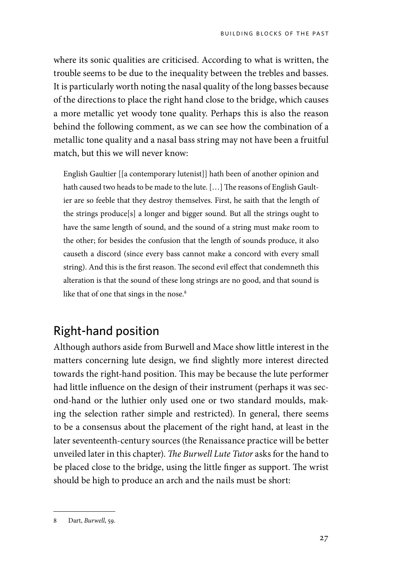where its sonic qualities are criticised. According to what is written, the trouble seems to be due to the inequality between the trebles and basses. It is particularly worth noting the nasal quality of the long basses because of the directions to place the right hand close to the bridge, which causes a more metallic yet woody tone quality. Perhaps this is also the reason behind the following comment, as we can see how the combination of a metallic tone quality and a nasal bass string may not have been a fruitful match, but this we will never know:

English Gaultier [[a contemporary lutenist]] hath been of another opinion and hath caused two heads to be made to the lute. […] The reasons of English Gaultier are so feeble that they destroy themselves. First, he saith that the length of the strings produce[s] a longer and bigger sound. But all the strings ought to have the same length of sound, and the sound of a string must make room to the other; for besides the confusion that the length of sounds produce, it also causeth a discord (since every bass cannot make a concord with every small string). And this is the first reason. The second evil effect that condemneth this alteration is that the sound of these long strings are no good, and that sound is like that of one that sings in the nose.<sup>8</sup>

### Right-hand position

Although authors aside from Burwell and Mace show little interest in the matters concerning lute design, we find slightly more interest directed towards the right-hand position. This may be because the lute performer had little influence on the design of their instrument (perhaps it was second-hand or the luthier only used one or two standard moulds, making the selection rather simple and restricted). In general, there seems to be a consensus about the placement of the right hand, at least in the later seventeenth-century sources (the Renaissance practice will be better unveiled later in this chapter). *The Burwell Lute Tutor* asks for the hand to be placed close to the bridge, using the little finger as support. The wrist should be high to produce an arch and the nails must be short:

<sup>8</sup> Dart, *Burwell*, 59.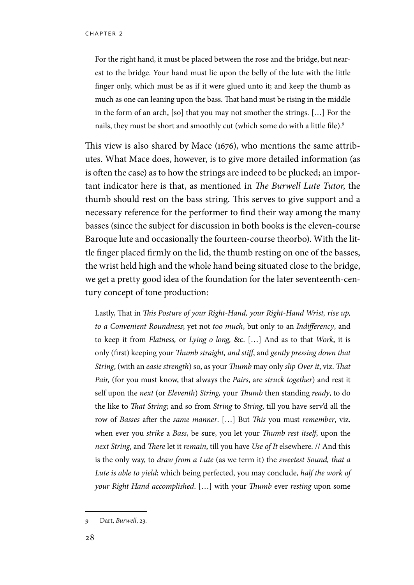For the right hand, it must be placed between the rose and the bridge, but nearest to the bridge. Your hand must lie upon the belly of the lute with the little finger only, which must be as if it were glued unto it; and keep the thumb as much as one can leaning upon the bass. That hand must be rising in the middle in the form of an arch, [so] that you may not smother the strings. […] For the nails, they must be short and smoothly cut (which some do with a little file).<sup>9</sup>

This view is also shared by Mace (1676), who mentions the same attributes. What Mace does, however, is to give more detailed information (as is often the case) as to how the strings are indeed to be plucked; an important indicator here is that, as mentioned in *The Burwell Lute Tutor*, the thumb should rest on the bass string. This serves to give support and a necessary reference for the performer to find their way among the many basses (since the subject for discussion in both books is the eleven-course Baroque lute and occasionally the fourteen-course theorbo). With the little finger placed firmly on the lid, the thumb resting on one of the basses, the wrist held high and the whole hand being situated close to the bridge, we get a pretty good idea of the foundation for the later seventeenth-century concept of tone production:

Lastly, That in *This Posture of your Right-Hand, your Right-Hand Wrist, rise up, to a Convenient Roundness*; yet not *too much*, but only to an *Indifferency*, and to keep it from *Flatness,* or *Lying o long,* &c. […] And as to that *Work*, it is only (first) keeping your *Thumb straight, and stiff*, and *gently pressing down that String*, (with an *easie strength*) so, as your *Thumb* may only *slip Over it*, viz. *That Pair,* (for you must know, that always the *Pairs*, are *struck together*) and rest it self upon the *next* (or *Eleventh*) *String,* your *Thumb* then standing *ready*, to do the like to *That String*; and so from *String* to *String*, till you have serv'd all the row of *Basses* after the *same manner*. […] But *This* you must *remember*, viz. when ever you *strike* a *Bass*, be sure, you let your *Thumb rest itself*, upon the *next String*, and *There* let it *remain*, till you have *Use of It* elsewhere. // And this is the only way, to *draw from a Lute* (as we term it) the *sweetest Sound, that a Lute is able to yield*; which being perfected, you may conclude, *half the work of your Right Hand accomplished*. […] with your *Thumb* ever *resting* upon some

<sup>9</sup> Dart, *Burwell*, 23.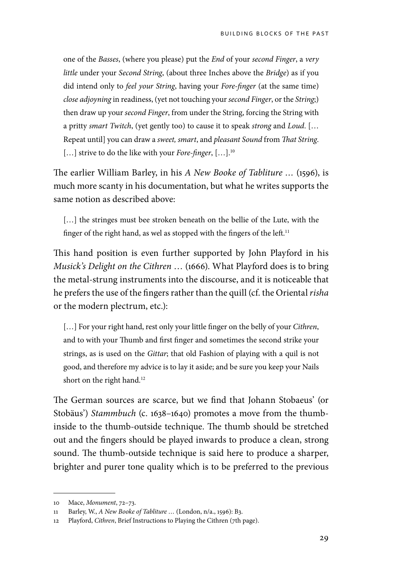one of the *Basses*, (where you please) put the *End* of your *second Finger*, a *very little* under your *Second String*, (about three Inches above the *Bridge*) as if you did intend only to *feel your String*, having your *Fore-finger* (at the same time) *close adjoyning* in readiness, (yet not touching your *second Finger*, or the *String*;) then draw up your *second Finger*, from under the String, forcing the String with a pritty *smart Twitch*, (yet gently too) to cause it to speak *strong* and *Loud*. [… Repeat until] you can draw a *sweet, smart*, and *pleasant Sound* from *That String*. [...] strive to do the like with your *Fore-finger*, [...].<sup>10</sup>

The earlier William Barley, in his *A New Booke of Tabliture …* (1596), is much more scanty in his documentation, but what he writes supports the same notion as described above:

[...] the stringes must bee stroken beneath on the bellie of the Lute, with the finger of the right hand, as wel as stopped with the fingers of the left.<sup>11</sup>

This hand position is even further supported by John Playford in his *Musick's Delight on the Cithren* … (1666). What Playford does is to bring the metal-strung instruments into the discourse, and it is noticeable that he prefers the use of the fingers rather than the quill (cf. the Oriental *risha* or the modern plectrum, etc.):

[...] For your right hand, rest only your little finger on the belly of your *Cithren*, and to with your Thumb and first finger and sometimes the second strike your strings, as is used on the *Gittar*; that old Fashion of playing with a quil is not good, and therefore my advice is to lay it aside; and be sure you keep your Nails short on the right hand.<sup>12</sup>

The German sources are scarce, but we find that Johann Stobaeus' (or Stobäus') *Stammbuch* (c. 1638–1640) promotes a move from the thumbinside to the thumb-outside technique. The thumb should be stretched out and the fingers should be played inwards to produce a clean, strong sound. The thumb-outside technique is said here to produce a sharper, brighter and purer tone quality which is to be preferred to the previous

<sup>10</sup> Mace, *Monument*, 72–73.

<sup>11</sup> Barley, W., *A New Booke of Tabliture …* (London, n/a., 1596): B3.

<sup>12</sup> Playford, *Cithren*, Brief Instructions to Playing the Cithren (7th page).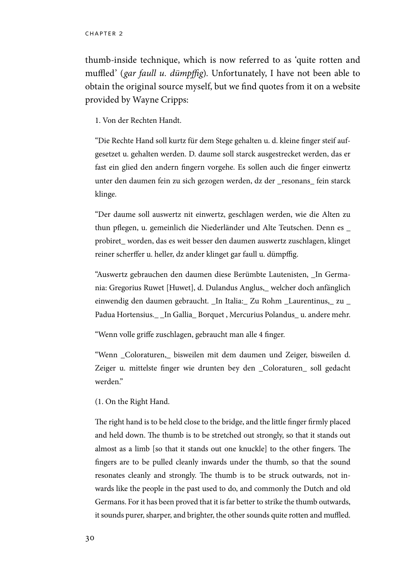thumb-inside technique, which is now referred to as 'quite rotten and muffled' (*gar faull u. dümpffig*). Unfortunately, I have not been able to obtain the original source myself, but we find quotes from it on a website provided by Wayne Cripps:

1. Von der Rechten Handt.

"Die Rechte Hand soll kurtz für dem Stege gehalten u. d. kleine finger steif aufgesetzet u. gehalten werden. D. daume soll starck ausgestrecket werden, das er fast ein glied den andern fingern vorgehe. Es sollen auch die finger einwertz unter den daumen fein zu sich gezogen werden, dz der \_resonans\_ fein starck klinge.

"Der daume soll auswertz nit einwertz, geschlagen werden, wie die Alten zu thun pflegen, u. gemeinlich die Niederländer und Alte Teutschen. Denn es \_ probiret\_ worden, das es weit besser den daumen auswertz zuschlagen, klinget reiner scherffer u. heller, dz ander klinget gar faull u. dümpffig.

"Auswertz gebrauchen den daumen diese Berümbte Lautenisten, \_In Germania: Gregorius Ruwet [Huwet], d. Dulandus Anglus,\_ welcher doch anfänglich einwendig den daumen gebraucht. \_In Italia:\_ Zu Rohm \_Laurentinus,\_ zu \_ Padua Hortensius.\_\_In Gallia\_Borquet, Mercurius Polandus\_u. andere mehr.

"Wenn volle griffe zuschlagen, gebraucht man alle 4 finger.

"Wenn \_Coloraturen,\_ bisweilen mit dem daumen und Zeiger, bisweilen d. Zeiger u. mittelste finger wie drunten bey den \_Coloraturen\_ soll gedacht werden."

#### (1. On the Right Hand.

The right hand is to be held close to the bridge, and the little finger firmly placed and held down. The thumb is to be stretched out strongly, so that it stands out almost as a limb [so that it stands out one knuckle] to the other fingers. The fingers are to be pulled cleanly inwards under the thumb, so that the sound resonates cleanly and strongly. The thumb is to be struck outwards, not inwards like the people in the past used to do, and commonly the Dutch and old Germans. For it has been proved that it is far better to strike the thumb outwards, it sounds purer, sharper, and brighter, the other sounds quite rotten and muffled.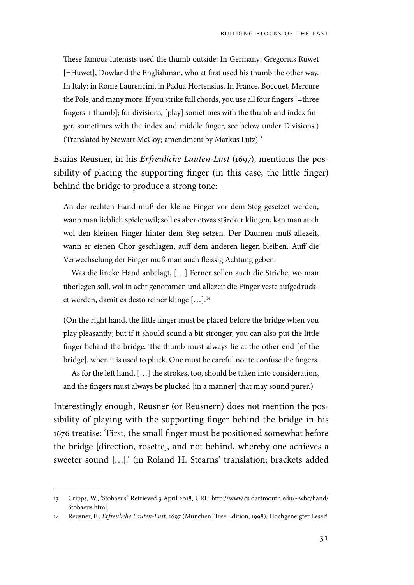These famous lutenists used the thumb outside: In Germany: Gregorius Ruwet [=Huwet], Dowland the Englishman, who at first used his thumb the other way. In Italy: in Rome Laurencini, in Padua Hortensius. In France, Bocquet, Mercure the Pole, and many more. If you strike full chords, you use all four fingers [=three fingers + thumb]; for divisions, [play] sometimes with the thumb and index finger, sometimes with the index and middle finger, see below under Divisions.) (Translated by Stewart McCoy; amendment by Markus Lutz)13

Esaias Reusner, in his *Erfreuliche Lauten-Lust* (1697), mentions the possibility of placing the supporting finger (in this case, the little finger) behind the bridge to produce a strong tone:

An der rechten Hand muß der kleine Finger vor dem Steg gesetzet werden, wann man lieblich spielenwil; soll es aber etwas stärcker klingen, kan man auch wol den kleinen Finger hinter dem Steg setzen. Der Daumen muß allezeit, wann er eienen Chor geschlagen, auff dem anderen liegen bleiben. Auff die Verwechselung der Finger muß man auch fleissig Achtung geben.

Was die lincke Hand anbelagt, […] Ferner sollen auch die Striche, wo man überlegen soll, wol in acht genommen und allezeit die Finger veste aufgedrucket werden, damit es desto reiner klinge […].14

(On the right hand, the little finger must be placed before the bridge when you play pleasantly; but if it should sound a bit stronger, you can also put the little finger behind the bridge. The thumb must always lie at the other end [of the bridge], when it is used to pluck. One must be careful not to confuse the fingers.

As for the left hand, […] the strokes, too, should be taken into consideration, and the fingers must always be plucked [in a manner] that may sound purer.)

Interestingly enough, Reusner (or Reusnern) does not mention the possibility of playing with the supporting finger behind the bridge in his 1676 treatise: 'First, the small finger must be positioned somewhat before the bridge [direction, rosette], and not behind, whereby one achieves a sweeter sound […].' (in Roland H. Stearns' translation; brackets added

<sup>13</sup> Cripps, W., 'Stobaeus.' Retrieved 3 April 2018, URL: http://www.cs.dartmouth.edu/~wbc/hand/ Stobaeus.html.

<sup>14</sup> Reusner, E., *Erfreuliche Lauten-Lust*. 1697 (München: Tree Edition, 1998), Hochgeneigter Leser!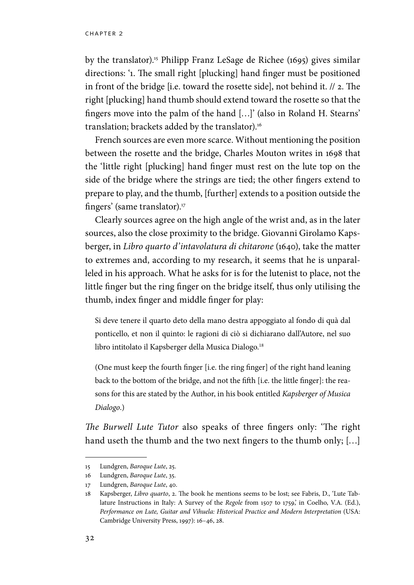by the translator).15 Philipp Franz LeSage de Richee (1695) gives similar directions: '1. The small right [plucking] hand finger must be positioned in front of the bridge [i.e. toward the rosette side], not behind it. // 2. The right [plucking] hand thumb should extend toward the rosette so that the fingers move into the palm of the hand […]' (also in Roland H. Stearns' translation; brackets added by the translator).<sup>16</sup>

French sources are even more scarce. Without mentioning the position between the rosette and the bridge, Charles Mouton writes in 1698 that the 'little right [plucking] hand finger must rest on the lute top on the side of the bridge where the strings are tied; the other fingers extend to prepare to play, and the thumb, [further] extends to a position outside the fingers' (same translator).<sup>17</sup>

Clearly sources agree on the high angle of the wrist and, as in the later sources, also the close proximity to the bridge. Giovanni Girolamo Kapsberger, in *Libro quarto d'intavolatura di chitarone* (1640), take the matter to extremes and, according to my research, it seems that he is unparalleled in his approach. What he asks for is for the lutenist to place, not the little finger but the ring finger on the bridge itself, thus only utilising the thumb, index finger and middle finger for play:

Si deve tenere il quarto deto della mano destra appoggiato al fondo di quà dal ponticello, et non il quinto: le ragioni di ciò si dichiarano dall'Autore, nel suo libro intitolato il Kapsberger della Musica Dialogo.<sup>18</sup>

(One must keep the fourth finger [i.e. the ring finger] of the right hand leaning back to the bottom of the bridge, and not the fifth [i.e. the little finger]: the reasons for this are stated by the Author, in his book entitled *Kapsberger of Musica Dialogo*.)

*The Burwell Lute Tutor* also speaks of three fingers only: 'The right hand useth the thumb and the two next fingers to the thumb only; [...]

<sup>15</sup> Lundgren, *Baroque Lute*, 25.

<sup>16</sup> Lundgren, *Baroque Lute*, 35.

<sup>17</sup> Lundgren, *Baroque Lute*, 40.

<sup>18</sup> Kapsberger, *Libro quarto*, 2. The book he mentions seems to be lost; see Fabris, D., 'Lute Tablature Instructions in Italy: A Survey of the *Regole* from 1507 to 1759,' in Coelho, V.A. (Ed.), *Performance on Lute, Guitar and Vihuela: Historical Practice and Modern Interpretation* (USA: Cambridge University Press, 1997): 16–46, 28.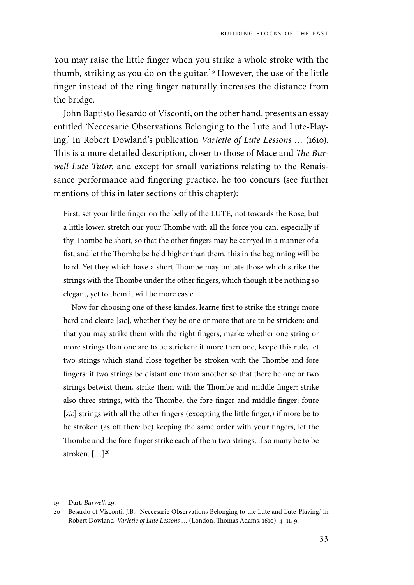You may raise the little finger when you strike a whole stroke with the thumb, striking as you do on the guitar.'19 However, the use of the little finger instead of the ring finger naturally increases the distance from the bridge.

John Baptisto Besardo of Visconti, on the other hand, presents an essay entitled 'Neccesarie Observations Belonging to the Lute and Lute-Playing,' in Robert Dowland's publication *Varietie of Lute Lessons …* (1610). This is a more detailed description, closer to those of Mace and *The Burwell Lute Tutor*, and except for small variations relating to the Renaissance performance and fingering practice, he too concurs (see further mentions of this in later sections of this chapter):

First, set your little finger on the belly of the LUTE, not towards the Rose, but a little lower, stretch our your Thombe with all the force you can, especially if thy Thombe be short, so that the other fingers may be carryed in a manner of a fist, and let the Thombe be held higher than them, this in the beginning will be hard. Yet they which have a short Thombe may imitate those which strike the strings with the Thombe under the other fingers, which though it be nothing so elegant, yet to them it will be more easie.

Now for choosing one of these kindes, learne first to strike the strings more hard and cleare [*sic*], whether they be one or more that are to be stricken: and that you may strike them with the right fingers, marke whether one string or more strings than one are to be stricken: if more then one, keepe this rule, let two strings which stand close together be stroken with the Thombe and fore fingers: if two strings be distant one from another so that there be one or two strings betwixt them, strike them with the Thombe and middle finger: strike also three strings, with the Thombe, the fore-finger and middle finger: foure [*sic*] strings with all the other fingers (excepting the little finger,) if more be to be stroken (as oft there be) keeping the same order with your fingers, let the Thombe and the fore-finger strike each of them two strings, if so many be to be stroken. [...]<sup>20</sup>

<sup>19</sup> Dart, *Burwell*, 29.

<sup>20</sup> Besardo of Visconti, J.B., 'Neccesarie Observations Belonging to the Lute and Lute-Playing,' in Robert Dowland, *Varietie of Lute Lessons …* (London, Thomas Adams, 1610): 4–11, 9.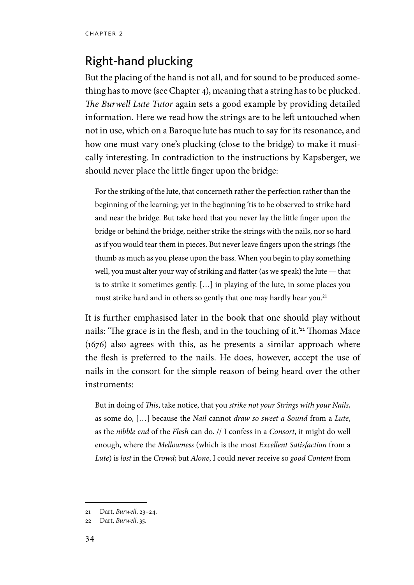# Right-hand plucking

But the placing of the hand is not all, and for sound to be produced something has to move (see Chapter 4), meaning that a string has to be plucked. *The Burwell Lute Tutor* again sets a good example by providing detailed information. Here we read how the strings are to be left untouched when not in use, which on a Baroque lute has much to say for its resonance, and how one must vary one's plucking (close to the bridge) to make it musically interesting. In contradiction to the instructions by Kapsberger, we should never place the little finger upon the bridge:

For the striking of the lute, that concerneth rather the perfection rather than the beginning of the learning; yet in the beginning 'tis to be observed to strike hard and near the bridge. But take heed that you never lay the little finger upon the bridge or behind the bridge, neither strike the strings with the nails, nor so hard as if you would tear them in pieces. But never leave fingers upon the strings (the thumb as much as you please upon the bass. When you begin to play something well, you must alter your way of striking and flatter (as we speak) the lute — that is to strike it sometimes gently. […] in playing of the lute, in some places you must strike hard and in others so gently that one may hardly hear you.<sup>21</sup>

It is further emphasised later in the book that one should play without nails: 'The grace is in the flesh, and in the touching of it.'<sup>22</sup> Thomas Mace (1676) also agrees with this, as he presents a similar approach where the flesh is preferred to the nails. He does, however, accept the use of nails in the consort for the simple reason of being heard over the other instruments:

But in doing of *This*, take notice, that you *strike not your Strings with your Nails*, as some do, […] because the *Nail* cannot *draw so sweet a Sound* from a *Lute*, as the *nibble end* of the *Flesh* can do. // I confess in a *Consort*, it might do well enough, where the *Mellowness* (which is the most *Excellent Satisfaction* from a *Lute*) is *lost* in the *Crowd*; but *Alone*, I could never receive so *good Content* from

<sup>21</sup> Dart, *Burwell*, 23–24.

<sup>22</sup> Dart, *Burwell*, 35.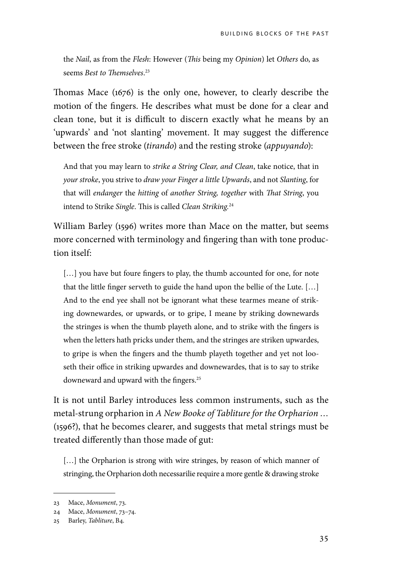the *Nail*, as from the *Flesh*: However (*This* being my *Opinion*) let *Others* do, as seems *Best to Themselves*. 23

Thomas Mace (1676) is the only one, however, to clearly describe the motion of the fingers. He describes what must be done for a clear and clean tone, but it is difficult to discern exactly what he means by an 'upwards' and 'not slanting' movement. It may suggest the difference between the free stroke (*tirando*) and the resting stroke (*appuyando*):

And that you may learn to *strike a String Clear, and Clean*, take notice, that in *your stroke*, you strive to *draw your Finger a little Upwards*, and not *Slanting*, for that will *endanger* the *hitting* of *another String, together* with *That String*, you intend to Strike *Single*. This is called *Clean Striking.*<sup>24</sup>

William Barley (1596) writes more than Mace on the matter, but seems more concerned with terminology and fingering than with tone production itself:

[...] you have but foure fingers to play, the thumb accounted for one, for note that the little finger serveth to guide the hand upon the bellie of the Lute. […] And to the end yee shall not be ignorant what these tearmes meane of striking downewardes, or upwards, or to gripe, I meane by striking downewards the stringes is when the thumb playeth alone, and to strike with the fingers is when the letters hath pricks under them, and the stringes are striken upwardes, to gripe is when the fingers and the thumb playeth together and yet not looseth their office in striking upwardes and downewardes, that is to say to strike downeward and upward with the fingers.<sup>25</sup>

It is not until Barley introduces less common instruments, such as the metal-strung orpharion in *A New Booke of Tabliture for the Orpharion …*  (1596?), that he becomes clearer, and suggests that metal strings must be treated differently than those made of gut:

[...] the Orpharion is strong with wire stringes, by reason of which manner of stringing, the Orpharion doth necessarilie require a more gentle & drawing stroke

<sup>23</sup> Mace, *Monument*, 73.

<sup>24</sup> Mace, *Monument*, 73–74.

<sup>25</sup> Barley, *Tabliture*, B4.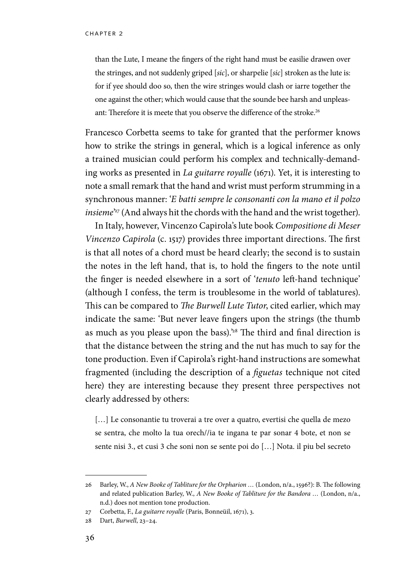than the Lute, I meane the fingers of the right hand must be easilie drawen over the stringes, and not suddenly griped [*sic*], or sharpelie [*sic*] stroken as the lute is: for if yee should doo so, then the wire stringes would clash or iarre together the one against the other; which would cause that the sounde bee harsh and unpleasant: Therefore it is meete that you observe the difference of the stroke.<sup>26</sup>

Francesco Corbetta seems to take for granted that the performer knows how to strike the strings in general, which is a logical inference as only a trained musician could perform his complex and technically-demanding works as presented in *La guitarre royalle* (1671). Yet, it is interesting to note a small remark that the hand and wrist must perform strumming in a synchronous manner: '*E batti sempre le consonanti con la mano et il polzo insieme*' 27 (And always hit the chords with the hand and the wrist together).

In Italy, however, Vincenzo Capirola's lute book *Compositione di Meser Vincenzo Capirola* (c. 1517) provides three important directions. The first is that all notes of a chord must be heard clearly; the second is to sustain the notes in the left hand, that is, to hold the fingers to the note until the finger is needed elsewhere in a sort of '*tenuto* left-hand technique' (although I confess, the term is troublesome in the world of tablatures). This can be compared to *The Burwell Lute Tutor*, cited earlier, which may indicate the same: 'But never leave fingers upon the strings (the thumb as much as you please upon the bass).<sup>28</sup> The third and final direction is that the distance between the string and the nut has much to say for the tone production. Even if Capirola's right-hand instructions are somewhat fragmented (including the description of a *figuetas* technique not cited here) they are interesting because they present three perspectives not clearly addressed by others:

[...] Le consonantie tu troverai a tre over a quatro, evertisi che quella de mezo se sentra, che molto la tua orech//ia te ingana te par sonar 4 bote, et non se sente nisi 3., et cusi 3 che soni non se sente poi do […] Nota. il piu bel secreto

<sup>26</sup> Barley, W., *A New Booke of Tabliture for the Orpharion …* (London, n/a., 1596?): B. The following and related publication Barley, W., *A New Booke of Tabliture for the Bandora …* (London, n/a., n.d.) does not mention tone production.

<sup>27</sup> Corbetta, F., *La guitarre royalle* (Paris, Bonneüil, 1671), 3.

<sup>28</sup> Dart, *Burwell*, 23–24.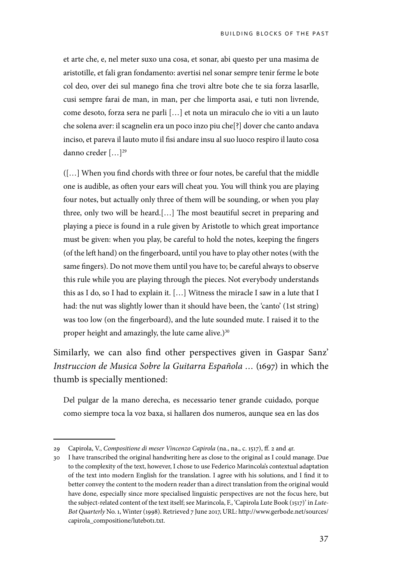et arte che, e, nel meter suxo una cosa, et sonar, abi questo per una masima de aristotille, et fali gran fondamento: avertisi nel sonar sempre tenir ferme le bote col deo, over dei sul manego fina che trovi altre bote che te sia forza lasarlle, cusi sempre farai de man, in man, per che limporta asai, e tuti non livrende, come desoto, forza sera ne parli […] et nota un miraculo che io viti a un lauto che solena aver: il scagnelin era un poco inzo piu che[?] dover che canto andava inciso, et pareva il lauto muto il fisi andare insu al suo luoco respiro il lauto cosa danno creder [...]<sup>29</sup>

([…] When you find chords with three or four notes, be careful that the middle one is audible, as often your ears will cheat you. You will think you are playing four notes, but actually only three of them will be sounding, or when you play three, only two will be heard.[…] The most beautiful secret in preparing and playing a piece is found in a rule given by Aristotle to which great importance must be given: when you play, be careful to hold the notes, keeping the fingers (of the left hand) on the fingerboard, until you have to play other notes (with the same fingers). Do not move them until you have to; be careful always to observe this rule while you are playing through the pieces. Not everybody understands this as I do, so I had to explain it. […] Witness the miracle I saw in a lute that I had: the nut was slightly lower than it should have been, the 'canto' (1st string) was too low (on the fingerboard), and the lute sounded mute. I raised it to the proper height and amazingly, the lute came alive.) $30$ 

Similarly, we can also find other perspectives given in Gaspar Sanz' *Instruccion de Musica Sobre la Guitarra Española …* (1697) in which the thumb is specially mentioned:

Del pulgar de la mano derecha, es necessario tener grande cuidado, porque como siempre toca la voz baxa, si hallaren dos numeros, aunque sea en las dos

<sup>29</sup> Capirola, V., *Compositione di meser Vincenzo Capirola* (na., na., c. 1517), ff. 2 and 4r.

<sup>30</sup> I have transcribed the original handwriting here as close to the original as I could manage. Due to the complexity of the text, however, I chose to use Federico Marincola's contextual adaptation of the text into modern English for the translation. I agree with his solutions, and I find it to better convey the content to the modern reader than a direct translation from the original would have done, especially since more specialised linguistic perspectives are not the focus here, but the subject-related content of the text itself; see Marincola, F., 'Capirola Lute Book (1517)' in *Lute-Bot Quarterly* No. 1, Winter (1998). Retrieved 7 June 2017, URL: http://www.gerbode.net/sources/ capirola\_compositione/lutebot1.txt.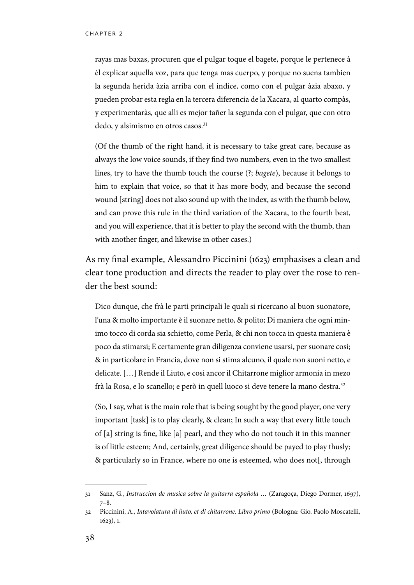rayas mas baxas, procuren que el pulgar toque el bagete, porque le pertenece à èl explicar aquella voz, para que tenga mas cuerpo, y porque no suena tambien la segunda herida àzia arriba con el indice, como con el pulgar àzia abaxo, y pueden probar esta regla en la tercera diferencia de la Xacara, al quarto compàs, y experimentaràs, que alli es mejor tañer la segunda con el pulgar, que con otro dedo, y alsimismo en otros casos.<sup>31</sup>

(Of the thumb of the right hand, it is necessary to take great care, because as always the low voice sounds, if they find two numbers, even in the two smallest lines, try to have the thumb touch the course (?; *bagete*), because it belongs to him to explain that voice, so that it has more body, and because the second wound [string] does not also sound up with the index, as with the thumb below, and can prove this rule in the third variation of the Xacara, to the fourth beat, and you will experience, that it is better to play the second with the thumb, than with another finger, and likewise in other cases.)

As my final example, Alessandro Piccinini (1623) emphasises a clean and clear tone production and directs the reader to play over the rose to render the best sound:

Dico dunque, che frà le parti principali le quali si ricercano al buon suonatore, l'una & molto importante è il suonare netto, & polito; Di maniera che ogni minimo tocco di corda sia schietto, come Perla, & chi non tocca in questa maniera è poco da stimarsi; E certamente gran diligenza conviene usarsi, per suonare cosi; & in particolare in Francia, dove non si stima alcuno, il quale non suoni netto, e delicate. […] Rende il Liuto, e cosi ancor il Chitarrone miglior armonia in mezo frà la Rosa, e lo scanello; e però in quell luoco si deve tenere la mano destra.<sup>32</sup>

(So, I say, what is the main role that is being sought by the good player, one very important [task] is to play clearly, & clean; In such a way that every little touch of [a] string is fine, like [a] pearl, and they who do not touch it in this manner is of little esteem; And, certainly, great diligence should be payed to play thusly; & particularly so in France, where no one is esteemed, who does not[, through

<sup>31</sup> Sanz, G., *Instruccion de musica sobre la guitarra española …* (Zaragoça, Diego Dormer, 1697), 7–8.

<sup>32</sup> Piccinini, A., *Intavolatura di liuto, et di chitarrone. Libro primo* (Bologna: Gio. Paolo Moscatelli, 1623), 1.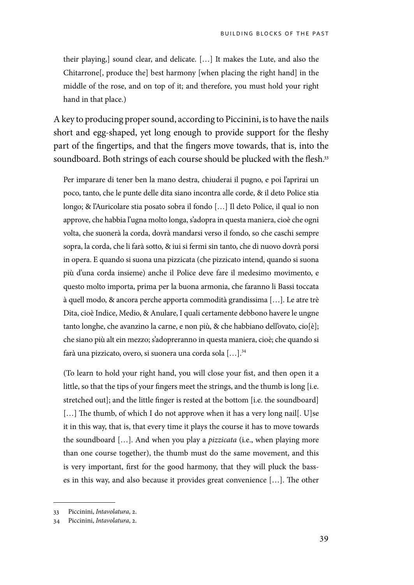their playing,] sound clear, and delicate. […] It makes the Lute, and also the Chitarrone[, produce the] best harmony [when placing the right hand] in the middle of the rose, and on top of it; and therefore, you must hold your right hand in that place.)

A key to producing proper sound, according to Piccinini, is to have the nails short and egg-shaped, yet long enough to provide support for the fleshy part of the fingertips, and that the fingers move towards, that is, into the soundboard. Both strings of each course should be plucked with the flesh.<sup>33</sup>

Per imparare di tener ben la mano destra, chiuderai il pugno, e poi l'aprirai un poco, tanto, che le punte delle dita siano incontra alle corde, & il deto Police stia longo; & l'Auricolare stia posato sobra il fondo […] Il deto Police, il qual io non approve, che habbia l'ugna molto longa, s'adopra in questa maniera, cioè che ogni volta, che suonerà la corda, dovrà mandarsi verso il fondo, so che caschi sempre sopra, la corda, che li farà sotto, & iui si fermi sin tanto, che di nuovo dovrà porsi in opera. E quando si suona una pizzicata (che pizzicato intend, quando si suona più d'una corda insieme) anche il Police deve fare il medesimo movimento, e questo molto importa, prima per la buona armonia, che faranno li Bassi toccata à quell modo, & ancora perche apporta commodità grandissima […]. Le atre trè Dita, cioè Indice, Medio, & Anulare, I quali certamente debbono havere le ungne tanto longhe, che avanzino la carne, e non più, & che habbiano dell'ovato, cio[è]; che siano più alt ein mezzo; s'adopreranno in questa maniera, cioè; che quando si farà una pizzicato, overo, si suonera una corda sola […].34

(To learn to hold your right hand, you will close your fist, and then open it a little, so that the tips of your fingers meet the strings, and the thumb is long [i.e. stretched out]; and the little finger is rested at the bottom [i.e. the soundboard] [...] The thumb, of which I do not approve when it has a very long nail[. U]se it in this way, that is, that every time it plays the course it has to move towards the soundboard […]. And when you play a *pizzicata* (i.e., when playing more than one course together), the thumb must do the same movement, and this is very important, first for the good harmony, that they will pluck the basses in this way, and also because it provides great convenience […]. The other

<sup>33</sup> Piccinini, *Intavolatura*, 2.

<sup>34</sup> Piccinini, *Intavolatura*, 2.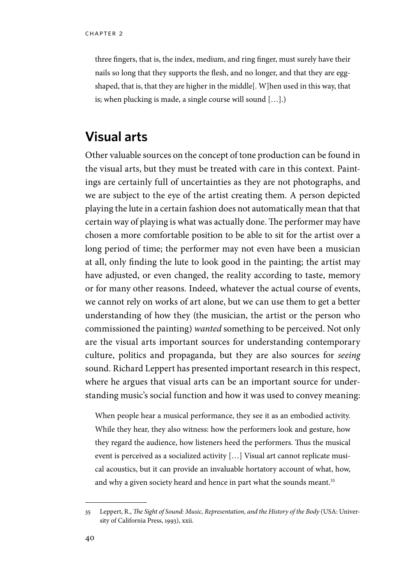three fingers, that is, the index, medium, and ring finger, must surely have their nails so long that they supports the flesh, and no longer, and that they are eggshaped, that is, that they are higher in the middle[. W]hen used in this way, that is; when plucking is made, a single course will sound […].)

### **Visual arts**

Other valuable sources on the concept of tone production can be found in the visual arts, but they must be treated with care in this context. Paintings are certainly full of uncertainties as they are not photographs, and we are subject to the eye of the artist creating them. A person depicted playing the lute in a certain fashion does not automatically mean that that certain way of playing is what was actually done. The performer may have chosen a more comfortable position to be able to sit for the artist over a long period of time; the performer may not even have been a musician at all, only finding the lute to look good in the painting; the artist may have adjusted, or even changed, the reality according to taste, memory or for many other reasons. Indeed, whatever the actual course of events, we cannot rely on works of art alone, but we can use them to get a better understanding of how they (the musician, the artist or the person who commissioned the painting) *wanted* something to be perceived. Not only are the visual arts important sources for understanding contemporary culture, politics and propaganda, but they are also sources for *seeing* sound. Richard Leppert has presented important research in this respect, where he argues that visual arts can be an important source for understanding music's social function and how it was used to convey meaning:

When people hear a musical performance, they see it as an embodied activity. While they hear, they also witness: how the performers look and gesture, how they regard the audience, how listeners heed the performers. Thus the musical event is perceived as a socialized activity […] Visual art cannot replicate musical acoustics, but it can provide an invaluable hortatory account of what, how, and why a given society heard and hence in part what the sounds meant.<sup>35</sup>

<sup>35</sup> Leppert, R., *The Sight of Sound: Music, Representation, and the History of the Body* (USA: University of California Press, 1993), xxii.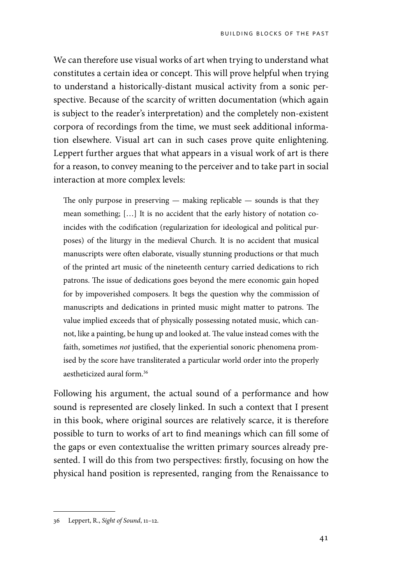We can therefore use visual works of art when trying to understand what constitutes a certain idea or concept. This will prove helpful when trying to understand a historically-distant musical activity from a sonic perspective. Because of the scarcity of written documentation (which again is subject to the reader's interpretation) and the completely non-existent corpora of recordings from the time, we must seek additional information elsewhere. Visual art can in such cases prove quite enlightening. Leppert further argues that what appears in a visual work of art is there for a reason, to convey meaning to the perceiver and to take part in social interaction at more complex levels:

The only purpose in preserving  $-$  making replicable  $-$  sounds is that they mean something; […] It is no accident that the early history of notation coincides with the codification (regularization for ideological and political purposes) of the liturgy in the medieval Church. It is no accident that musical manuscripts were often elaborate, visually stunning productions or that much of the printed art music of the nineteenth century carried dedications to rich patrons. The issue of dedications goes beyond the mere economic gain hoped for by impoverished composers. It begs the question why the commission of manuscripts and dedications in printed music might matter to patrons. The value implied exceeds that of physically possessing notated music, which cannot, like a painting, be hung up and looked at. The value instead comes with the faith, sometimes *not* justified, that the experiential sonoric phenomena promised by the score have transliterated a particular world order into the properly aestheticized aural form.36

Following his argument, the actual sound of a performance and how sound is represented are closely linked. In such a context that I present in this book, where original sources are relatively scarce, it is therefore possible to turn to works of art to find meanings which can fill some of the gaps or even contextualise the written primary sources already presented. I will do this from two perspectives: firstly, focusing on how the physical hand position is represented, ranging from the Renaissance to

<sup>36</sup> Leppert, R., *Sight of Sound*, 11–12.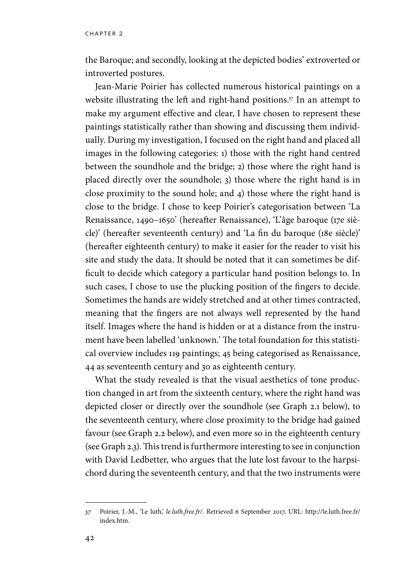the Baroque; and secondly, looking at the depicted bodies' extroverted or introverted postures.

Jean-Marie Poirier has collected numerous historical paintings on a website illustrating the left and right-hand positions.<sup>37</sup> In an attempt to make my argument effective and clear, I have chosen to represent these paintings statistically rather than showing and discussing them individually. During my investigation, I focused on the right hand and placed all images in the following categories: 1) those with the right hand centred between the soundhole and the bridge; 2) those where the right hand is placed directly over the soundhole; 3) those where the right hand is in close proximity to the sound hole; and 4) those where the right hand is close to the bridge. I chose to keep Poirier's categorisation between 'La Renaissance, 1490–1650' (hereafter Renaissance), 'L'âge baroque (17e siècle)' (hereafter seventeenth century) and 'La fin du baroque (18e siècle)' (hereafter eighteenth century) to make it easier for the reader to visit his site and study the data. It should be noted that it can sometimes be difficult to decide which category a particular hand position belongs to. In such cases, I chose to use the plucking position of the fingers to decide. Sometimes the hands are widely stretched and at other times contracted, meaning that the fingers are not always well represented by the hand itself. Images where the hand is hidden or at a distance from the instrument have been labelled 'unknown.' The total foundation for this statistical overview includes 119 paintings; 45 being categorised as Renaissance, 44 as seventeenth century and 30 as eighteenth century.

What the study revealed is that the visual aesthetics of tone production changed in art from the sixteenth century, where the right hand was depicted closer or directly over the soundhole (see Graph 2.1 below), to the seventeenth century, where close proximity to the bridge had gained favour (see Graph 2.2 below), and even more so in the eighteenth century (see Graph 2.3). This trend is furthermore interesting to see in conjunction with David Ledbetter, who argues that the lute lost favour to the harpsichord during the seventeenth century, and that the two instruments were

<sup>37</sup> Poirier, J.-M., 'Le luth,' *le.luth.free.fr/*. Retrieved 6 September 2017, URL: http://le.luth.free.fr/ index.htm.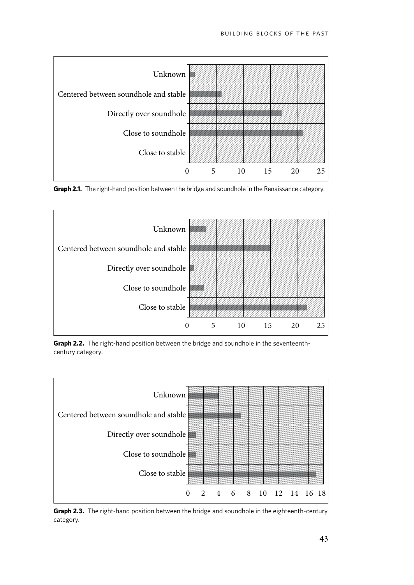





**Graph 2.2.** The right-hand position between the bridge and soundhole in the seventeenthcentury category.



**Graph 2.3.** The right-hand position between the bridge and soundhole in the eighteenth-century category.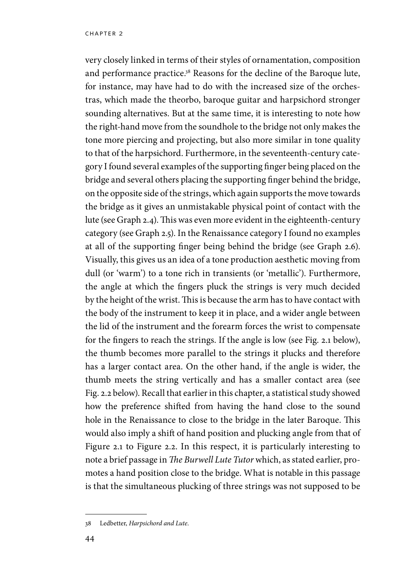very closely linked in terms of their styles of ornamentation, composition and performance practice.38 Reasons for the decline of the Baroque lute, for instance, may have had to do with the increased size of the orchestras, which made the theorbo, baroque guitar and harpsichord stronger sounding alternatives. But at the same time, it is interesting to note how the right-hand move from the soundhole to the bridge not only makes the tone more piercing and projecting, but also more similar in tone quality to that of the harpsichord. Furthermore, in the seventeenth-century category I found several examples of the supporting finger being placed on the bridge and several others placing the supporting finger behind the bridge, on the opposite side of the strings, which again supports the move towards the bridge as it gives an unmistakable physical point of contact with the lute (see Graph 2.4). This was even more evident in the eighteenth-century category (see Graph 2.5). In the Renaissance category I found no examples at all of the supporting finger being behind the bridge (see Graph 2.6). Visually, this gives us an idea of a tone production aesthetic moving from dull (or 'warm') to a tone rich in transients (or 'metallic'). Furthermore, the angle at which the fingers pluck the strings is very much decided by the height of the wrist. This is because the arm has to have contact with the body of the instrument to keep it in place, and a wider angle between the lid of the instrument and the forearm forces the wrist to compensate for the fingers to reach the strings. If the angle is low (see Fig. 2.1 below), the thumb becomes more parallel to the strings it plucks and therefore has a larger contact area. On the other hand, if the angle is wider, the thumb meets the string vertically and has a smaller contact area (see Fig. 2.2 below). Recall that earlier in this chapter, a statistical study showed how the preference shifted from having the hand close to the sound hole in the Renaissance to close to the bridge in the later Baroque. This would also imply a shift of hand position and plucking angle from that of Figure 2.1 to Figure 2.2. In this respect, it is particularly interesting to note a brief passage in *The Burwell Lute Tutor* which, as stated earlier, promotes a hand position close to the bridge. What is notable in this passage is that the simultaneous plucking of three strings was not supposed to be

<sup>38</sup> Ledbetter, *Harpsichord and Lute*.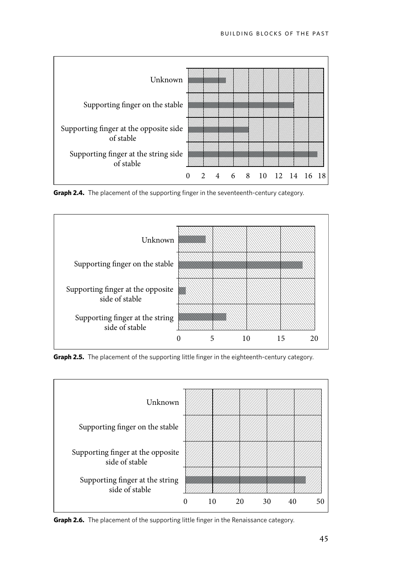

**Graph 2.4.** The placement of the supporting finger in the seventeenth-century category.



**Graph 2.5.** The placement of the supporting little finger in the eighteenth-century category.



**Graph 2.6.** The placement of the supporting little finger in the Renaissance category.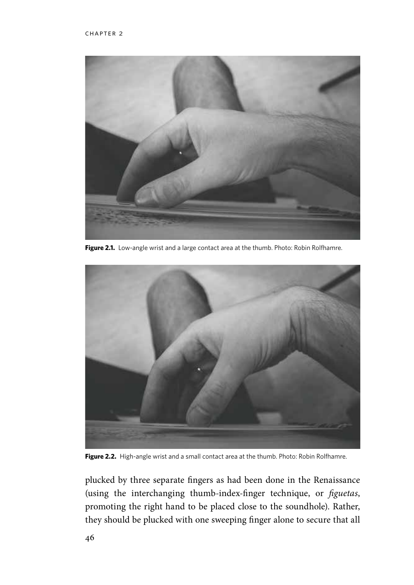

Figure 2.1. Low-angle wrist and a large contact area at the thumb. Photo: Robin Rolfhamre.



**Figure 2.2.** High-angle wrist and a small contact area at the thumb. Photo: Robin Rolfhamre.

plucked by three separate fingers as had been done in the Renaissance (using the interchanging thumb-index-finger technique, or *figuetas*, promoting the right hand to be placed close to the soundhole). Rather, they should be plucked with one sweeping finger alone to secure that all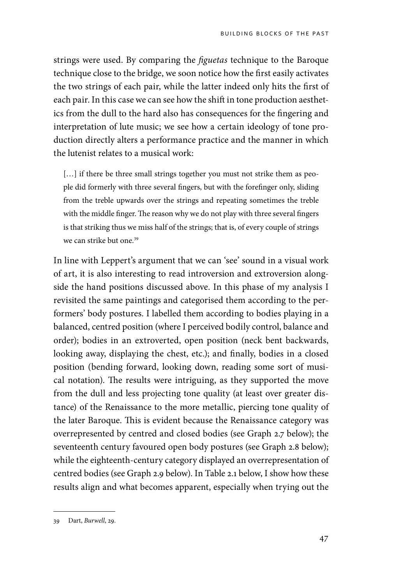strings were used. By comparing the *figuetas* technique to the Baroque technique close to the bridge, we soon notice how the first easily activates the two strings of each pair, while the latter indeed only hits the first of each pair. In this case we can see how the shift in tone production aesthetics from the dull to the hard also has consequences for the fingering and interpretation of lute music; we see how a certain ideology of tone production directly alters a performance practice and the manner in which the lutenist relates to a musical work:

[...] if there be three small strings together you must not strike them as people did formerly with three several fingers, but with the forefinger only, sliding from the treble upwards over the strings and repeating sometimes the treble with the middle finger. The reason why we do not play with three several fingers is that striking thus we miss half of the strings; that is, of every couple of strings we can strike but one.<sup>39</sup>

In line with Leppert's argument that we can 'see' sound in a visual work of art, it is also interesting to read introversion and extroversion alongside the hand positions discussed above. In this phase of my analysis I revisited the same paintings and categorised them according to the performers' body postures. I labelled them according to bodies playing in a balanced, centred position (where I perceived bodily control, balance and order); bodies in an extroverted, open position (neck bent backwards, looking away, displaying the chest, etc.); and finally, bodies in a closed position (bending forward, looking down, reading some sort of musical notation). The results were intriguing, as they supported the move from the dull and less projecting tone quality (at least over greater distance) of the Renaissance to the more metallic, piercing tone quality of the later Baroque. This is evident because the Renaissance category was overrepresented by centred and closed bodies (see Graph 2.7 below); the seventeenth century favoured open body postures (see Graph 2.8 below); while the eighteenth-century category displayed an overrepresentation of centred bodies (see Graph 2.9 below). In Table 2.1 below, I show how these results align and what becomes apparent, especially when trying out the

<sup>39</sup> Dart, *Burwell*, 29.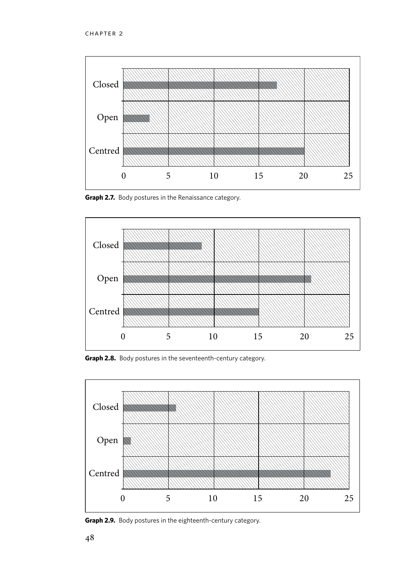

**Graph 2.7.** Body postures in the Renaissance category.



**Graph 2.8.** Body postures in the seventeenth-century category.



**Graph 2.9.** Body postures in the eighteenth-century category.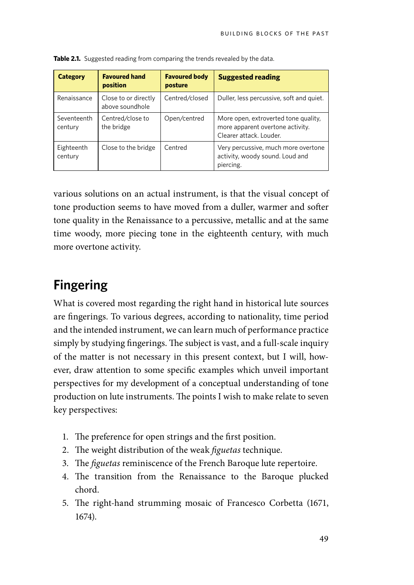| <b>Category</b>        | <b>Favoured hand</b><br>position        | <b>Favoured body</b><br>posture | <b>Suggested reading</b>                                                                            |
|------------------------|-----------------------------------------|---------------------------------|-----------------------------------------------------------------------------------------------------|
| Renaissance            | Close to or directly<br>above soundhole | Centred/closed                  | Duller, less percussive, soft and quiet.                                                            |
| Seventeenth<br>century | Centred/close to<br>the bridge          | Open/centred                    | More open, extroverted tone quality,<br>more apparent overtone activity.<br>Clearer attack. Louder. |
| Eighteenth<br>century  | Close to the bridge                     | Centred                         | Very percussive, much more overtone<br>activity, woody sound. Loud and<br>piercing.                 |

**Table 2.1.** Suggested reading from comparing the trends revealed by the data.

various solutions on an actual instrument, is that the visual concept of tone production seems to have moved from a duller, warmer and softer tone quality in the Renaissance to a percussive, metallic and at the same time woody, more piecing tone in the eighteenth century, with much more overtone activity.

## **Fingering**

What is covered most regarding the right hand in historical lute sources are fingerings. To various degrees, according to nationality, time period and the intended instrument, we can learn much of performance practice simply by studying fingerings. The subject is vast, and a full-scale inquiry of the matter is not necessary in this present context, but I will, however, draw attention to some specific examples which unveil important perspectives for my development of a conceptual understanding of tone production on lute instruments. The points I wish to make relate to seven key perspectives:

- 1. The preference for open strings and the first position.
- 2. The weight distribution of the weak *figuetas* technique.
- 3. The *figuetas* reminiscence of the French Baroque lute repertoire.
- 4. The transition from the Renaissance to the Baroque plucked chord.
- 5. The right-hand strumming mosaic of Francesco Corbetta (1671, 1674).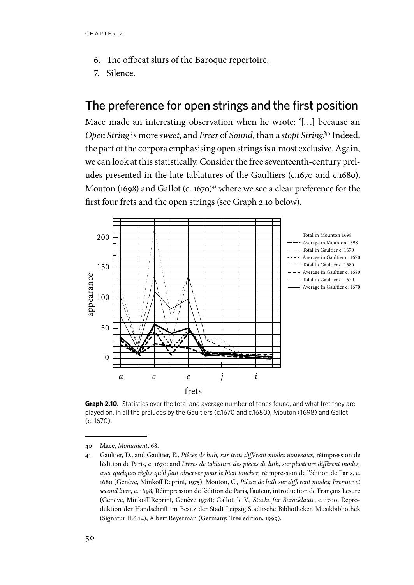- 6. The offbeat slurs of the Baroque repertoire.
- 7. Silence.

#### The preference for open strings and the first position

Mace made an interesting observation when he wrote: '[…] because an *Open String* is more *sweet*, and *Freer* of *Sound*, than a *stopt String*.'40 Indeed, the part of the corpora emphasising open strings is almost exclusive. Again, we can look at this statistically. Consider the free seventeenth-century preludes presented in the lute tablatures of the Gaultiers (c.1670 and c.1680), Mouton (1698) and Gallot (c. 1670)<sup>41</sup> where we see a clear preference for the first four frets and the open strings (see Graph 2.10 below).



**Graph 2.10.** Statistics over the total and average number of tones found, and what fret they are played on, in all the preludes by the Gaultiers (c.1670 and c.1680), Mouton (1698) and Gallot (c. 1670).

<sup>40</sup> Mace, *Monument*, 68.

<sup>41</sup> Gaultier, D., and Gaultier, E., *Pièces de luth, sur trois différent modes nouveaux,* réimpression de l'édition de Paris, c. 1670; and *Livres de tablature des pièces de luth, sur plusieurs différent modes, avec quelques règles qu'il faut observer pour le bien toucher*, réimpression de l'édition de Paris, c. 1680 (Genève, Minkoff Reprint, 1975); Mouton, C., *Pièces de luth sur different modes; Premier et second livre*, c. 1698, Réimpression de l'édition de Paris, l'auteur, introduction de François Lesure (Genève, Minkoff Reprint, Genève 1978); Gallot, le V., *Stücke für Barocklaute*, c. 1700, Reproduktion der Handschrift im Besitz der Stadt Leipzig Städtische Bibliotheken Musikbibliothek (Signatur II.6.14), Albert Reyerman (Germany, Tree edition, 1999).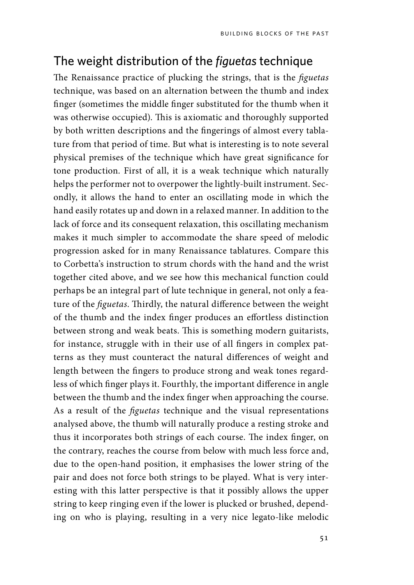### The weight distribution of the *figuetas* technique

The Renaissance practice of plucking the strings, that is the *figuetas* technique, was based on an alternation between the thumb and index finger (sometimes the middle finger substituted for the thumb when it was otherwise occupied). This is axiomatic and thoroughly supported by both written descriptions and the fingerings of almost every tablature from that period of time. But what is interesting is to note several physical premises of the technique which have great significance for tone production. First of all, it is a weak technique which naturally helps the performer not to overpower the lightly-built instrument. Secondly, it allows the hand to enter an oscillating mode in which the hand easily rotates up and down in a relaxed manner. In addition to the lack of force and its consequent relaxation, this oscillating mechanism makes it much simpler to accommodate the share speed of melodic progression asked for in many Renaissance tablatures. Compare this to Corbetta's instruction to strum chords with the hand and the wrist together cited above, and we see how this mechanical function could perhaps be an integral part of lute technique in general, not only a feature of the *figuetas*. Thirdly, the natural difference between the weight of the thumb and the index finger produces an effortless distinction between strong and weak beats. This is something modern guitarists, for instance, struggle with in their use of all fingers in complex patterns as they must counteract the natural differences of weight and length between the fingers to produce strong and weak tones regardless of which finger plays it. Fourthly, the important difference in angle between the thumb and the index finger when approaching the course. As a result of the *figuetas* technique and the visual representations analysed above, the thumb will naturally produce a resting stroke and thus it incorporates both strings of each course. The index finger, on the contrary, reaches the course from below with much less force and, due to the open-hand position, it emphasises the lower string of the pair and does not force both strings to be played. What is very interesting with this latter perspective is that it possibly allows the upper string to keep ringing even if the lower is plucked or brushed, depending on who is playing, resulting in a very nice legato-like melodic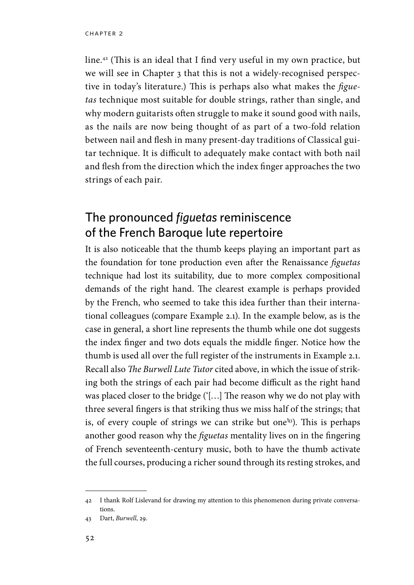line.42 (This is an ideal that I find very useful in my own practice, but we will see in Chapter 3 that this is not a widely-recognised perspective in today's literature.) This is perhaps also what makes the *figuetas* technique most suitable for double strings, rather than single, and why modern guitarists often struggle to make it sound good with nails, as the nails are now being thought of as part of a two-fold relation between nail and flesh in many present-day traditions of Classical guitar technique. It is difficult to adequately make contact with both nail and flesh from the direction which the index finger approaches the two strings of each pair.

# The pronounced *figuetas* reminiscence of the French Baroque lute repertoire

It is also noticeable that the thumb keeps playing an important part as the foundation for tone production even after the Renaissance *figuetas* technique had lost its suitability, due to more complex compositional demands of the right hand. The clearest example is perhaps provided by the French, who seemed to take this idea further than their international colleagues (compare Example 2.1). In the example below, as is the case in general, a short line represents the thumb while one dot suggests the index finger and two dots equals the middle finger. Notice how the thumb is used all over the full register of the instruments in Example 2.1. Recall also *The Burwell Lute Tutor* cited above, in which the issue of striking both the strings of each pair had become difficult as the right hand was placed closer to the bridge ('[…] The reason why we do not play with three several fingers is that striking thus we miss half of the strings; that is, of every couple of strings we can strike but one<sup>43</sup>). This is perhaps another good reason why the *figuetas* mentality lives on in the fingering of French seventeenth-century music, both to have the thumb activate the full courses, producing a richer sound through its resting strokes, and

<sup>42</sup> I thank Rolf Lislevand for drawing my attention to this phenomenon during private conversations.

<sup>43</sup> Dart, *Burwell*, 29.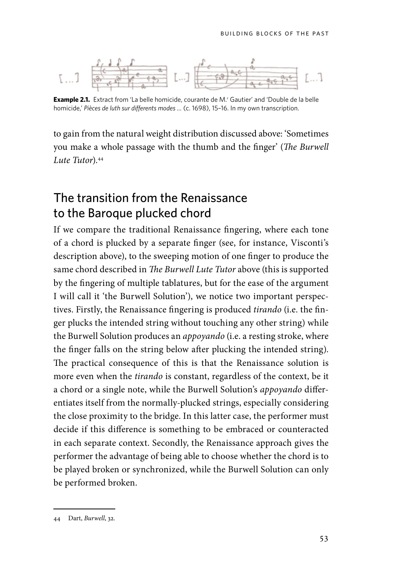

**Example 2.1.** Extract from 'La belle homicide, courante de M.' Gautier' and 'Double de la belle homicide,' *Pièces de luth sur differents modes …* (c. 1698), 15–16. In my own transcription.

to gain from the natural weight distribution discussed above: 'Sometimes you make a whole passage with the thumb and the finger' (*The Burwell Lute Tutor*).44

## The transition from the Renaissance to the Baroque plucked chord

If we compare the traditional Renaissance fingering, where each tone of a chord is plucked by a separate finger (see, for instance, Visconti's description above), to the sweeping motion of one finger to produce the same chord described in *The Burwell Lute Tutor* above (this is supported by the fingering of multiple tablatures, but for the ease of the argument I will call it 'the Burwell Solution'), we notice two important perspectives. Firstly, the Renaissance fingering is produced *tirando* (i.e. the finger plucks the intended string without touching any other string) while the Burwell Solution produces an *appoyando* (i.e. a resting stroke, where the finger falls on the string below after plucking the intended string). The practical consequence of this is that the Renaissance solution is more even when the *tirando* is constant, regardless of the context, be it a chord or a single note, while the Burwell Solution's *appoyando* differentiates itself from the normally-plucked strings, especially considering the close proximity to the bridge. In this latter case, the performer must decide if this difference is something to be embraced or counteracted in each separate context. Secondly, the Renaissance approach gives the performer the advantage of being able to choose whether the chord is to be played broken or synchronized, while the Burwell Solution can only be performed broken.

<sup>44</sup> Dart, *Burwell*, 32.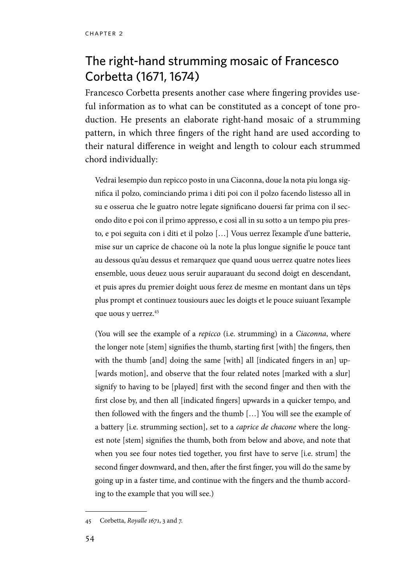# The right-hand strumming mosaic of Francesco Corbetta (1671, 1674)

Francesco Corbetta presents another case where fingering provides useful information as to what can be constituted as a concept of tone production. He presents an elaborate right-hand mosaic of a strumming pattern, in which three fingers of the right hand are used according to their natural difference in weight and length to colour each strummed chord individually:

Vedrai lesempio dun repicco posto in una Ciaconna, doue la nota piu longa significa il polzo, cominciando prima i diti poi con il polzo facendo listesso all in su e osserua che le guatro notre legate significano douersi far prima con il secondo dito e poi con il primo appresso, e cosi all in su sotto a un tempo piu presto, e poi seguita con i diti et il polzo […] Vous uerrez l'example d'une batterie, mise sur un caprice de chacone où la note la plus longue signifie le pouce tant au dessous qu'au dessus et remarquez que quand uous uerrez quatre notes liees ensemble, uous deuez uous seruir auparauant du second doigt en descendant, et puis apres du premier doight uous ferez de mesme en montant dans un tĕps plus prompt et continuez tousiours auec les doigts et le pouce suiuant l'example que uous y uerrez.<sup>45</sup>

(You will see the example of a *repicco* (i.e. strumming) in a *Ciaconna*, where the longer note [stem] signifies the thumb, starting first [with] the fingers, then with the thumb [and] doing the same [with] all [indicated fingers in an] up-[wards motion], and observe that the four related notes [marked with a slur] signify to having to be [played] first with the second finger and then with the first close by, and then all [indicated fingers] upwards in a quicker tempo, and then followed with the fingers and the thumb […] You will see the example of a battery [i.e. strumming section], set to a *caprice de chacone* where the longest note [stem] signifies the thumb, both from below and above, and note that when you see four notes tied together, you first have to serve [i.e. strum] the second finger downward, and then, after the first finger, you will do the same by going up in a faster time, and continue with the fingers and the thumb according to the example that you will see.)

<sup>45</sup> Corbetta, *Royalle 1671*, 3 and 7.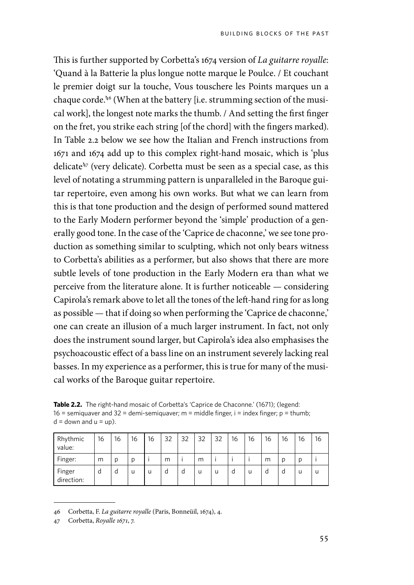This is further supported by Corbetta's 1674 version of *La guitarre royalle*: 'Quand à la Batterie la plus longue notte marque le Poulce. / Et couchant le premier doigt sur la touche, Vous touschere les Points marques un a chaque corde.'46 (When at the battery [i.e. strumming section of the musical work], the longest note marks the thumb. / And setting the first finger on the fret, you strike each string [of the chord] with the fingers marked). In Table 2.2 below we see how the Italian and French instructions from 1671 and 1674 add up to this complex right-hand mosaic, which is 'plus delicate'47 (very delicate). Corbetta must be seen as a special case, as this level of notating a strumming pattern is unparalleled in the Baroque guitar repertoire, even among his own works. But what we can learn from this is that tone production and the design of performed sound mattered to the Early Modern performer beyond the 'simple' production of a generally good tone. In the case of the 'Caprice de chaconne,' we see tone production as something similar to sculpting, which not only bears witness to Corbetta's abilities as a performer, but also shows that there are more subtle levels of tone production in the Early Modern era than what we perceive from the literature alone. It is further noticeable — considering Capirola's remark above to let all the tones of the left-hand ring for as long as possible — that if doing so when performing the 'Caprice de chaconne,' one can create an illusion of a much larger instrument. In fact, not only does the instrument sound larger, but Capirola's idea also emphasises the psychoacoustic effect of a bass line on an instrument severely lacking real basses. In my experience as a performer, this is true for many of the musical works of the Baroque guitar repertoire.

| <b>Table 2.2.</b> The right-hand mosaic of Corbetta's 'Caprice de Chaconne.' (1671); (legend: |
|-----------------------------------------------------------------------------------------------|
| $16$ = semiguaver and $32$ = demi-semiguaver; m = middle finger, i = index finger; p = thumb; |
| $d =$ down and $u =$ up).                                                                     |

| Rhythmic<br>value:   | 16 | 16 | 16 | 16 | 32 | 32 | 32 | 32 | 16 | 16 | 16 | 16 | 16 | 16 |
|----------------------|----|----|----|----|----|----|----|----|----|----|----|----|----|----|
| Finger:              | m  | D  | D  |    | m  |    | m  |    |    |    | m  | D  |    |    |
| Finger<br>direction: | d  | d  | u  | u  | d  | d  | u  | u  | d  | u  | d  | d  | IJ | u  |

<sup>46</sup> Corbetta, F. *La guitarre royalle* (Paris, Bonneüil, 1674), 4.

<sup>47</sup> Corbetta, *Royalle 1671*, 7.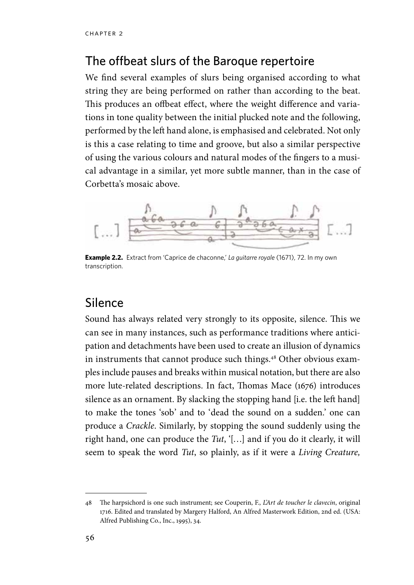#### The offbeat slurs of the Baroque repertoire

We find several examples of slurs being organised according to what string they are being performed on rather than according to the beat. This produces an offbeat effect, where the weight difference and variations in tone quality between the initial plucked note and the following, performed by the left hand alone, is emphasised and celebrated. Not only is this a case relating to time and groove, but also a similar perspective of using the various colours and natural modes of the fingers to a musical advantage in a similar, yet more subtle manner, than in the case of Corbetta's mosaic above.



**Example 2.2.** Extract from 'Caprice de chaconne,' La guitarre royale (1671), 72. In my own transcription.

#### Silence

Sound has always related very strongly to its opposite, silence. This we can see in many instances, such as performance traditions where anticipation and detachments have been used to create an illusion of dynamics in instruments that cannot produce such things.<sup>48</sup> Other obvious examples include pauses and breaks within musical notation, but there are also more lute-related descriptions. In fact, Thomas Mace (1676) introduces silence as an ornament. By slacking the stopping hand [i.e. the left hand] to make the tones 'sob' and to 'dead the sound on a sudden.' one can produce a *Crackle*. Similarly, by stopping the sound suddenly using the right hand, one can produce the *Tut*, '[…] and if you do it clearly, it will seem to speak the word *Tut*, so plainly, as if it were a *Living Creature,* 

<sup>48</sup> The harpsichord is one such instrument; see Couperin, F., *L'Art de toucher le clavecin*, original 1716. Edited and translated by Margery Halford, An Alfred Masterwork Edition, 2nd ed. (USA: Alfred Publishing Co., Inc., 1995), 34.